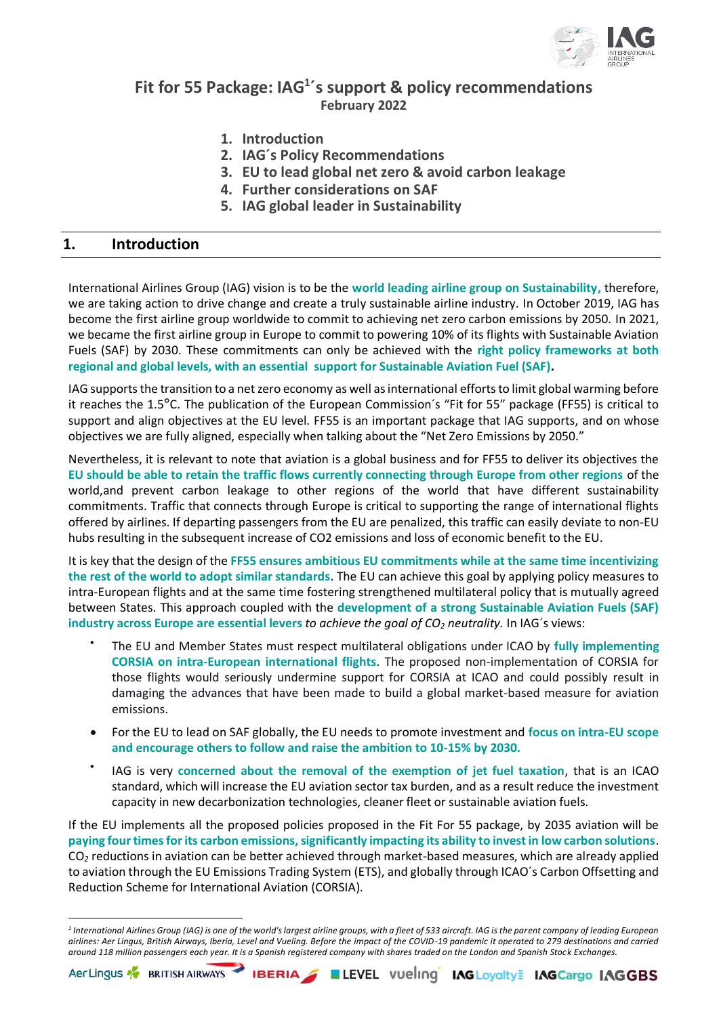

# **Fit for 55 Package: IAG<sup>1</sup> ´s support & policy recommendations February 2022**

- **1. Introduction**
- **2. IAG´s Policy Recommendations**
- **3. EU to lead global net zero & avoid carbon leakage**
- **4. Further considerations on SAF**
- **5. IAG global leader in Sustainability**

## **1. Introduction**

International Airlines Group (IAG) vision is to be the **world leading airline group on Sustainability,** therefore, we are taking action to drive change and create a truly sustainable airline industry. In October 2019, IAG has become the first airline group worldwide to commit to achieving net zero carbon emissions by 2050. In 2021, we became the first airline group in Europe to commit to powering 10% of its flights with Sustainable Aviation Fuels (SAF) by 2030. These commitments can only be achieved with the **right policy frameworks at both regional and global levels, with an essential support for Sustainable Aviation Fuel (SAF).**

IAG supports the transition to a net zero economy as well as international efforts to limit global warming before it reaches the 1.5**°**C. The publication of the European Commission´s "Fit for 55" package (FF55) is critical to support and align objectives at the EU level. FF55 is an important package that IAG supports, and on whose objectives we are fully aligned, especially when talking about the "Net Zero Emissions by 2050."

Nevertheless, it is relevant to note that aviation is a global business and for FF55 to deliver its objectives the **EU should be able to retain the traffic flows currently connecting through Europe from other regions** of the world,and prevent carbon leakage to other regions of the world that have different sustainability commitments. Traffic that connects through Europe is critical to supporting the range of international flights offered by airlines. If departing passengers from the EU are penalized, this traffic can easily deviate to non-EU hubs resulting in the subsequent increase of CO2 emissions and loss of economic benefit to the EU.

It is key that the design of the **FF55 ensures ambitious EU commitments while at the same time incentivizing the rest of the world to adopt similar standards**. The EU can achieve this goal by applying policy measures to intra-European flights and at the same time fostering strengthened multilateral policy that is mutually agreed between States. This approach coupled with the **development of a strong Sustainable Aviation Fuels (SAF) industry across Europe are essential levers** *to achieve the goal of CO<sup>2</sup> neutrality.* In IAG´s views:

- The EU and Member States must respect multilateral obligations under ICAO by **fully implementing CORSIA on intra-European international flights**. The proposed non-implementation of CORSIA for those flights would seriously undermine support for CORSIA at ICAO and could possibly result in damaging the advances that have been made to build a global market-based measure for aviation emissions.
- For the EU to lead on SAF globally, the EU needs to promote investment and **focus on intra-EU scope and encourage others to follow and raise the ambition to 10-15% by 2030.**
- IAG is very **concerned about the removal of the exemption of jet fuel taxation**, that is an ICAO standard, which will increase the EU aviation sector tax burden, and as a result reduce the investment capacity in new decarbonization technologies, cleaner fleet or sustainable aviation fuels.

If the EU implements all the proposed policies proposed in the Fit For 55 package, by 2035 aviation will be **paying four timesfor its carbon emissions,significantly impacting its ability to invest in low carbon solutions**. CO*<sup>2</sup>* reductions in aviation can be better achieved through market-based measures, which are already applied to aviation through the EU Emissions Trading System (ETS), and globally through ICAO´s Carbon Offsetting and Reduction Scheme for International Aviation (CORSIA).



*<sup>1</sup> International Airlines Group (IAG) is one of the world's largest airline groups, with a fleet of 533 aircraft. IAG is the parent company of leading European airlines: Aer Lingus, British Airways, Iberia, Level and Vueling. Before the impact of the COVID-19 pandemic it operated to 279 destinations and carried around 118 million passengers each year. It is a Spanish registered company with shares traded on the London and Spanish Stock Exchanges.*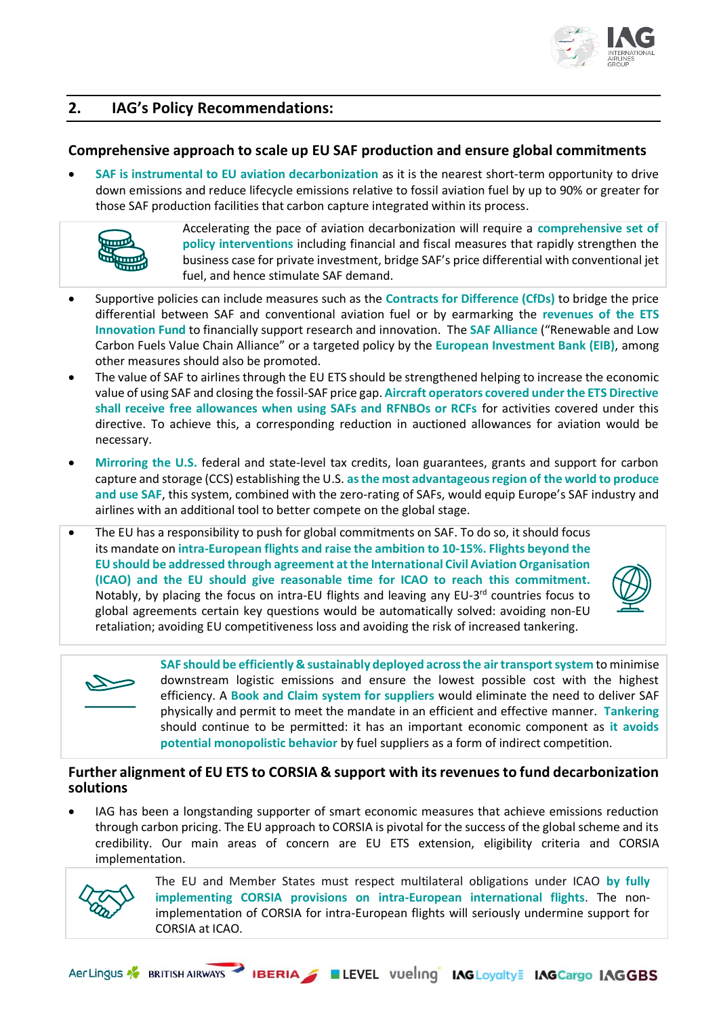

# **2. IAG's Policy Recommendations:**

## **Comprehensive approach to scale up EU SAF production and ensure global commitments**

• **SAF is instrumental to EU aviation decarbonization** as it is the nearest short-term opportunity to drive down emissions and reduce lifecycle emissions relative to fossil aviation fuel by up to 90% or greater for those SAF production facilities that carbon capture integrated within its process.



Accelerating the pace of aviation decarbonization will require a **comprehensive set of policy interventions** including financial and fiscal measures that rapidly strengthen the business case for private investment, bridge SAF's price differential with conventional jet fuel, and hence stimulate SAF demand.

- Supportive policies can include measures such as the **Contracts for Difference (CfDs)** to bridge the price differential between SAF and conventional aviation fuel or by earmarking the **revenues of the ETS Innovation Fund** to financially support research and innovation. The **SAF Alliance** ("Renewable and Low Carbon Fuels Value Chain Alliance" or a targeted policy by the **European Investment Bank (EIB)**, among other measures should also be promoted.
- The value of SAF to airlines through the EU ETS should be strengthened helping to increase the economic value of using SAF and closing the fossil-SAF price gap. **Aircraft operators covered under the ETS Directive shall receive free allowances when using SAFs and RFNBOs or RCFs** for activities covered under this directive. To achieve this, a corresponding reduction in auctioned allowances for aviation would be necessary.
- **Mirroring the U.S.** federal and state-level tax credits, loan guarantees, grants and support for carbon capture and storage (CCS) establishing the U.S. **as the most advantageous region of the world to produce and use SAF**, this system, combined with the zero-rating of SAFs, would equip Europe's SAF industry and airlines with an additional tool to better compete on the global stage.
- The EU has a responsibility to push for global commitments on SAF. To do so, it should focus its mandate on **intra-European flights and raise the ambition to 10-15%. Flights beyond the EU should be addressed through agreement at the International Civil Aviation Organisation (ICAO) and the EU should give reasonable time for ICAO to reach this commitment.** Notably, by placing the focus on intra-EU flights and leaving any EU-3<sup>rd</sup> countries focus to global agreements certain key questions would be automatically solved: avoiding non-EU retaliation; avoiding EU competitiveness loss and avoiding the risk of increased tankering.





**SAF should be efficiently & sustainably deployed across the air transport system** to minimise downstream logistic emissions and ensure the lowest possible cost with the highest efficiency. A **Book and Claim system for suppliers** would eliminate the need to deliver SAF physically and permit to meet the mandate in an efficient and effective manner. **Tankering**  should continue to be permitted: it has an important economic component as **it avoids potential monopolistic behavior** by fuel suppliers as a form of indirect competition.

## **Further alignment of EU ETS to CORSIA & support with its revenues to fund decarbonization solutions**

IAG has been a longstanding supporter of smart economic measures that achieve emissions reduction through carbon pricing. The EU approach to CORSIA is pivotal for the success of the global scheme and its credibility. Our main areas of concern are EU ETS extension, eligibility criteria and CORSIA implementation.



The EU and Member States must respect multilateral obligations under ICAO **by fully implementing CORSIA provisions on intra-European international flights**. The nonimplementation of CORSIA for intra-European flights will seriously undermine support for CORSIA at ICAO.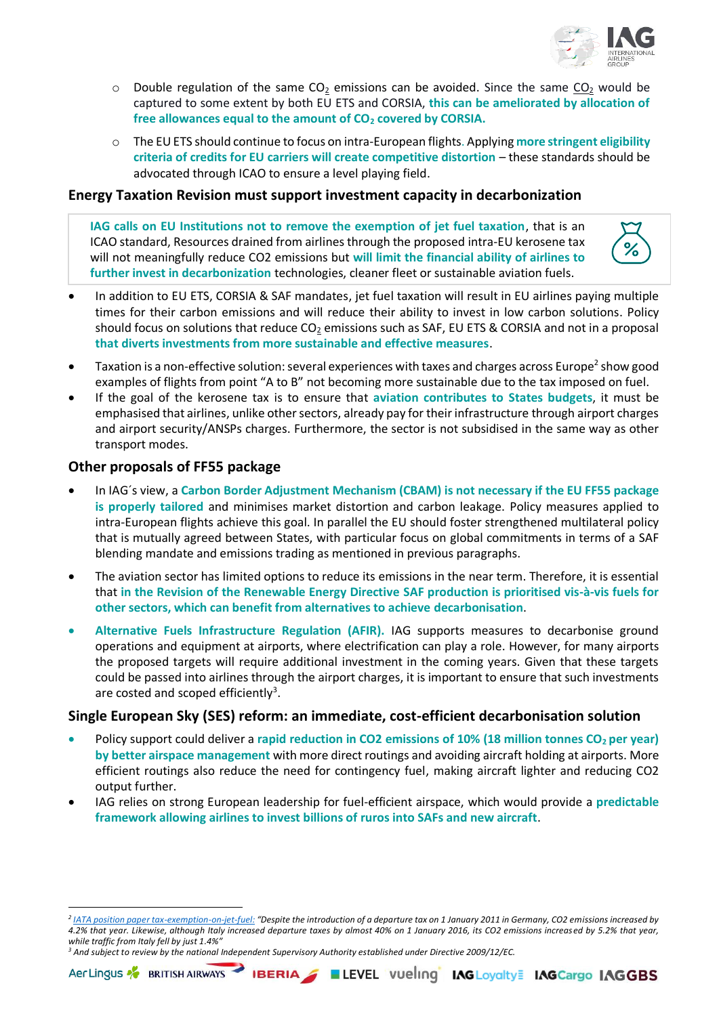

- $\circ$  Double regulation of the same CO<sub>2</sub> emissions can be avoided. Since the same CO<sub>2</sub> would be captured to some extent by both EU ETS and CORSIA, **this can be ameliorated by allocation of free allowances equal to the amount of CO<sup>2</sup> covered by CORSIA.**
- o The EU ETS should continue to focus on intra-European flights. Applying **more stringent eligibility criteria of credits for EU carriers will create competitive distortion** – these standards should be advocated through ICAO to ensure a level playing field.

#### **Energy Taxation Revision must support investment capacity in decarbonization**

**IAG calls on EU Institutions not to remove the exemption of jet fuel taxation**, that is an ICAO standard, Resources drained from airlines through the proposed intra-EU kerosene tax will not meaningfully reduce CO2 emissions but **will limit the financial ability of airlines to further invest in decarbonization** technologies, cleaner fleet or sustainable aviation fuels.



- In addition to EU ETS, CORSIA & SAF mandates, jet fuel taxation will result in EU airlines paying multiple times for their carbon emissions and will reduce their ability to invest in low carbon solutions. Policy should focus on solutions that reduce  $CO<sub>2</sub>$  emissions such as SAF, EU ETS & CORSIA and not in a proposal **that diverts investments from more sustainable and effective measures**.
- $\bullet$  Taxation is a non-effective solution: several experiences with taxes and charges across Europe<sup>2</sup> show good examples of flights from point "A to B" not becoming more sustainable due to the tax imposed on fuel.
- If the goal of the kerosene tax is to ensure that **aviation contributes to States budgets**, it must be emphasised that airlines, unlike other sectors, already pay for their infrastructure through airport charges and airport security/ANSPs charges. Furthermore, the sector is not subsidised in the same way as other transport modes.

#### **Other proposals of FF55 package**

- In IAG´s view, a **Carbon Border Adjustment Mechanism (CBAM) is not necessary if the EU FF55 package is properly tailored** and minimises market distortion and carbon leakage. Policy measures applied to intra-European flights achieve this goal. In parallel the EU should foster strengthened multilateral policy that is mutually agreed between States, with particular focus on global commitments in terms of a SAF blending mandate and emissions trading as mentioned in previous paragraphs.
- The aviation sector has limited options to reduce its emissions in the near term. Therefore, it is essential that **in the Revision of the Renewable Energy Directive SAF production is prioritised vis-à-vis fuels for other sectors, which can benefit from alternatives to achieve decarbonisation**.
- **Alternative Fuels Infrastructure Regulation (AFIR).** IAG supports measures to decarbonise ground operations and equipment at airports, where electrification can play a role. However, for many airports the proposed targets will require additional investment in the coming years. Given that these targets could be passed into airlines through the airport charges, it is important to ensure that such investments are costed and scoped efficiently<sup>3</sup>.

## **Single European Sky (SES) reform: an immediate, cost-efficient decarbonisation solution**

- Policy support could deliver a **rapid reduction in CO2 emissions of 10% (18 million tonnes CO<sup>2</sup> per year) by better airspace management** with more direct routings and avoiding aircraft holding at airports. More efficient routings also reduce the need for contingency fuel, making aircraft lighter and reducing CO2 output further.
- IAG relies on strong European leadership for fuel-efficient airspace, which would provide a **predictable framework allowing airlines to invest billions of ruros into SAFs and new aircraft**.

#### *<sup>3</sup> And subject to review by the national Independent Supervisory Authority established under Directive 2009/12/EC.*

*<sup>2</sup> [IATA position paper tax-exemption-on-jet-fuel:](https://www.iata.org/contentassets/4eae6e82b7b948b58370eb6413bd8d88/iata-position---tax-exemption-on-jet-fuel.pdf) "Despite the introduction of a departure tax on 1 January 2011 in Germany, CO2 emissions increased by 4.2% that year. Likewise, although Italy increased departure taxes by almost 40% on 1 January 2016, its CO2 emissions increased by 5.2% that year, while traffic from Italy fell by just 1.4%"*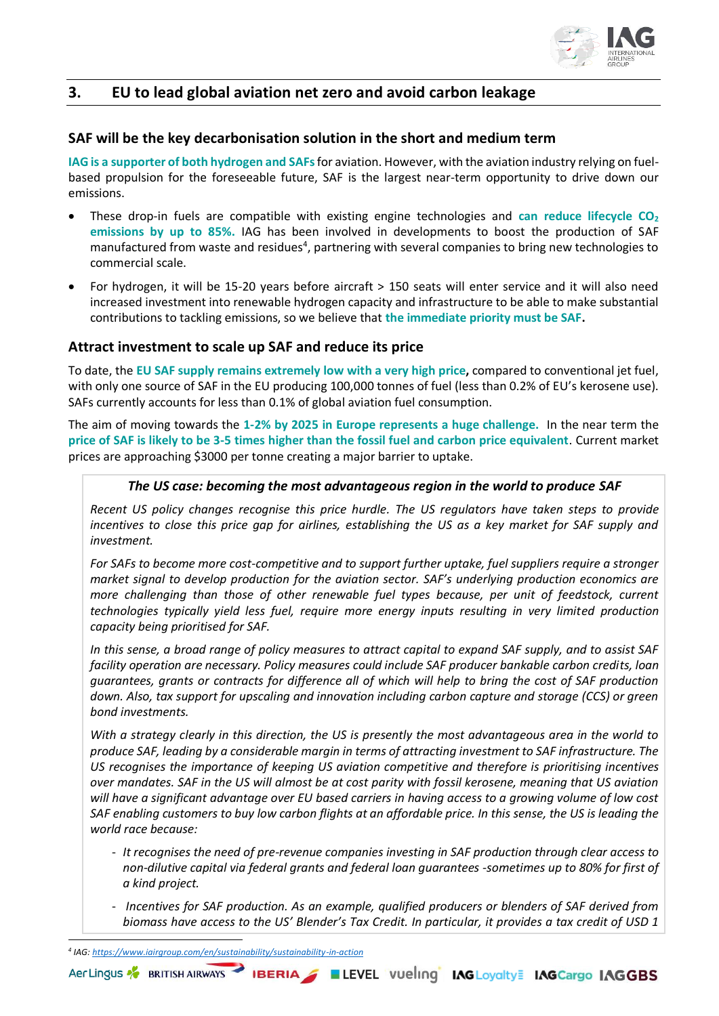

# **3. EU to lead global aviation net zero and avoid carbon leakage**

#### **SAF will be the key decarbonisation solution in the short and medium term**

**IAG is a supporter of both hydrogen and SAFs**for aviation. However, with the aviation industry relying on fuelbased propulsion for the foreseeable future, SAF is the largest near-term opportunity to drive down our emissions.

- These drop-in fuels are compatible with existing engine technologies and **can reduce lifecycle CO<sup>2</sup> emissions by up to 85%.** IAG has been involved in developments to boost the production of SAF manufactured from waste and residues<sup>4</sup>, partnering with several companies to bring new technologies to commercial scale.
- For hydrogen, it will be 15-20 years before aircraft > 150 seats will enter service and it will also need increased investment into renewable hydrogen capacity and infrastructure to be able to make substantial contributions to tackling emissions, so we believe that **the immediate priority must be SAF.**

## **Attract investment to scale up SAF and reduce its price**

To date, the **EU SAF supply remains extremely low with a very high price,** compared to conventional jet fuel, with only one source of SAF in the EU producing 100,000 tonnes of fuel (less than 0.2% of EU's kerosene use). SAFs currently accounts for less than 0.1% of global aviation fuel consumption.

The aim of moving towards the **1-2% by 2025 in Europe represents a huge challenge.** In the near term the **price of SAF is likely to be 3-5 times higher than the fossil fuel and carbon price equivalent**. Current market prices are approaching \$3000 per tonne creating a major barrier to uptake.

#### *The US case: becoming the most advantageous region in the world to produce SAF*

*Recent US policy changes recognise this price hurdle. The US regulators have taken steps to provide incentives to close this price gap for airlines, establishing the US as a key market for SAF supply and investment.*

*For SAFs to become more cost-competitive and to support further uptake, fuel suppliers require a stronger market signal to develop production for the aviation sector. SAF's underlying production economics are more challenging than those of other renewable fuel types because, per unit of feedstock, current technologies typically yield less fuel, require more energy inputs resulting in very limited production capacity being prioritised for SAF.* 

*In this sense, a broad range of policy measures to attract capital to expand SAF supply, and to assist SAF facility operation are necessary. Policy measures could include SAF producer bankable carbon credits, loan guarantees, grants or contracts for difference all of which will help to bring the cost of SAF production down. Also, tax support for upscaling and innovation including carbon capture and storage (CCS) or green bond investments.* 

*With a strategy clearly in this direction, the US is presently the most advantageous area in the world to produce SAF, leading by a considerable margin in terms of attracting investment to SAF infrastructure. The US recognises the importance of keeping US aviation competitive and therefore is prioritising incentives over mandates. SAF in the US will almost be at cost parity with fossil kerosene, meaning that US aviation will have a significant advantage over EU based carriers in having access to a growing volume of low cost SAF enabling customers to buy low carbon flights at an affordable price. In this sense, the US is leading the world race because:* 

- *It recognises the need of pre-revenue companies investing in SAF production through clear access to non-dilutive capital via federal grants and federal loan guarantees -sometimes up to 80% for first of a kind project.*
- *Incentives for SAF production. As an example, qualified producers or blenders of SAF derived from biomass have access to the US' Blender's Tax Credit. In particular, it provides a tax credit of USD 1*

*4 IAG[: https://www.iairgroup.com/en/sustainability/sustainability-in-action](https://www.iairgroup.com/en/sustainability/sustainability-in-action)*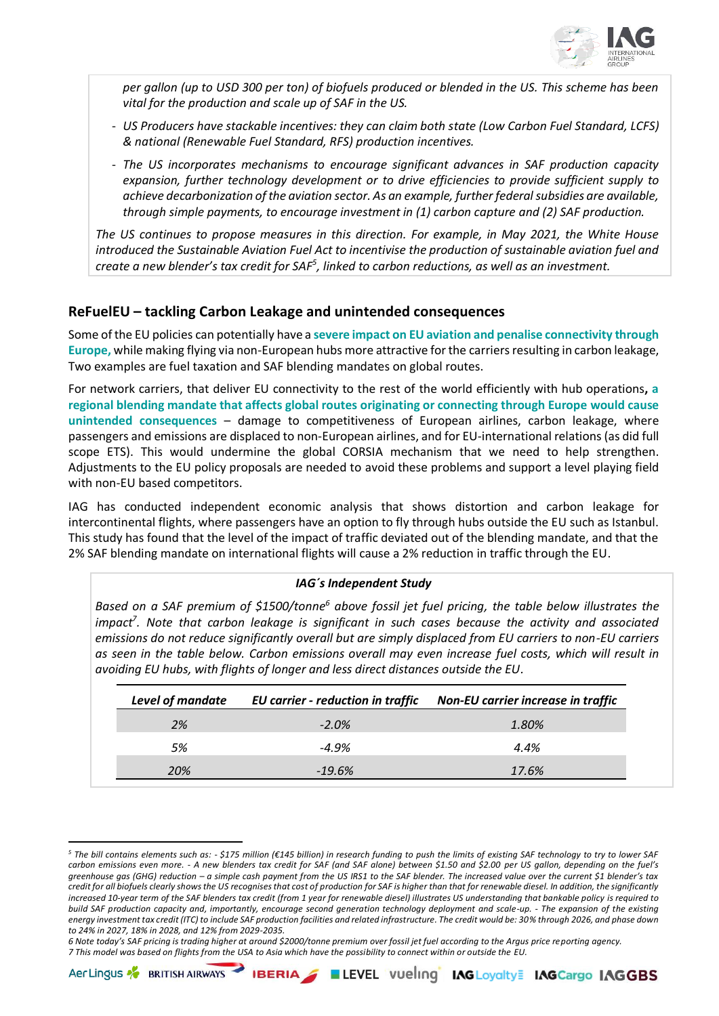

*per gallon (up to USD 300 per ton) of biofuels produced or blended in the US. This scheme has been vital for the production and scale up of SAF in the US.*

- *US Producers have stackable incentives: they can claim both state (Low Carbon Fuel Standard, LCFS) & national (Renewable Fuel Standard, RFS) production incentives.*
- *The US incorporates mechanisms to encourage significant advances in SAF production capacity expansion, further technology development or to drive efficiencies to provide sufficient supply to achieve decarbonization of the aviation sector. As an example, further federal subsidies are available, through simple payments, to encourage investment in (1) carbon capture and (2) SAF production.*

*The US continues to propose measures in this direction. For example, in May 2021, the White House introduced the Sustainable Aviation Fuel Act to incentivise the production of sustainable aviation fuel and create a new blender's tax credit for SAF<sup>5</sup> , linked to carbon reductions, as well as an investment.*

## **ReFuelEU – tackling Carbon Leakage and unintended consequences**

Some of the EU policies can potentially have a **severe impact on EU aviation and penalise connectivity through Europe,** while making flying via non-European hubs more attractive for the carriers resulting in carbon leakage, Two examples are fuel taxation and SAF blending mandates on global routes.

For network carriers, that deliver EU connectivity to the rest of the world efficiently with hub operations**, a regional blending mandate that affects global routes originating or connecting through Europe would cause unintended consequences** – damage to competitiveness of European airlines, carbon leakage, where passengers and emissions are displaced to non-European airlines, and for EU-international relations (as did full scope ETS). This would undermine the global CORSIA mechanism that we need to help strengthen. Adjustments to the EU policy proposals are needed to avoid these problems and support a level playing field with non-EU based competitors.

IAG has conducted independent economic analysis that shows distortion and carbon leakage for intercontinental flights, where passengers have an option to fly through hubs outside the EU such as Istanbul. This study has found that the level of the impact of traffic deviated out of the blending mandate, and that the 2% SAF blending mandate on international flights will cause a 2% reduction in traffic through the EU.

#### *IAG´s Independent Study*

*Based on a SAF premium of \$1500/tonne<sup>6</sup> above fossil jet fuel pricing, the table below illustrates the impact<sup>7</sup> . Note that carbon leakage is significant in such cases because the activity and associated emissions do not reduce significantly overall but are simply displaced from EU carriers to non-EU carriers as seen in the table below. Carbon emissions overall may even increase fuel costs, which will result in avoiding EU hubs, with flights of longer and less direct distances outside the EU.*

| <b>Level of mandate</b> | <b>EU</b> carrier - reduction in traffic | Non-EU carrier increase in traffic |
|-------------------------|------------------------------------------|------------------------------------|
| 2%                      | $-2.0\%$                                 | 1.80%                              |
| 5%                      | $-4.9%$                                  | 4.4%                               |
| 20%                     | $-19.6%$                                 | 17.6%                              |

*6 Note today's SAF pricing is trading higher at around \$2000/tonne premium over fossil jet fuel according to the Argus price reporting agency. 7 This model was based on flights from the USA to Asia which have the possibility to connect within or outside the EU.*





*<sup>5</sup> The bill contains elements such as: - \$175 million (€145 billion) in research funding to push the limits of existing SAF technology to try to lower SAF carbon emissions even more. - A new blenders tax credit for SAF (and SAF alone) between \$1.50 and \$2.00 per US gallon, depending on the fuel's greenhouse gas (GHG) reduction – a simple cash payment from the US IRS1 to the SAF blender. The increased value over the current \$1 blender's tax credit for all biofuels clearly shows the US recognises that cost of production for SAF is higher than that for renewable diesel. In addition, the significantly increased 10-year term of the SAF blenders tax credit (from 1 year for renewable diesel) illustrates US understanding that bankable policy is required to build SAF production capacity and, importantly, encourage second generation technology deployment and scale-up. - The expansion of the existing energy investment tax credit (ITC) to include SAF production facilities and related infrastructure. The credit would be: 30% through 2026, and phase down to 24% in 2027, 18% in 2028, and 12% from 2029-2035.*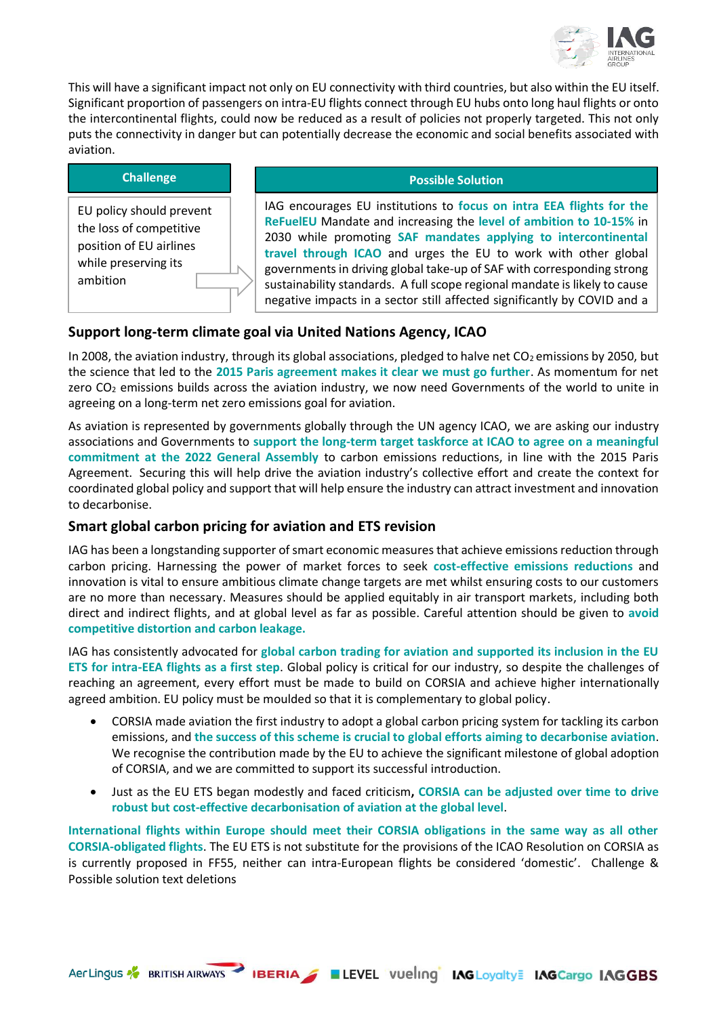

This will have a significant impact not only on EU connectivity with third countries, but also within the EU itself. Significant proportion of passengers on intra-EU flights connect through EU hubs onto long haul flights or onto the intercontinental flights, could now be reduced as a result of policies not properly targeted. This not only puts the connectivity in danger but can potentially decrease the economic and social benefits associated with aviation.

| <b>Challenge</b>                                                                                                   | <b>Possible Solution</b>                                                                                                                                                                                                                                                                                                                                                                                                                                                                                           |
|--------------------------------------------------------------------------------------------------------------------|--------------------------------------------------------------------------------------------------------------------------------------------------------------------------------------------------------------------------------------------------------------------------------------------------------------------------------------------------------------------------------------------------------------------------------------------------------------------------------------------------------------------|
| EU policy should prevent<br>the loss of competitive<br>position of EU airlines<br>while preserving its<br>ambition | IAG encourages EU institutions to focus on intra EEA flights for the<br>ReFuelEU Mandate and increasing the level of ambition to 10-15% in<br>2030 while promoting SAF mandates applying to intercontinental<br>travel through ICAO and urges the EU to work with other global<br>governments in driving global take-up of SAF with corresponding strong<br>sustainability standards. A full scope regional mandate is likely to cause<br>negative impacts in a sector still affected significantly by COVID and a |

# **Support long-term climate goal via United Nations Agency, ICAO**

In 2008, the aviation industry, through its global associations, pledged to halve net  $CO<sub>2</sub>$  emissions by 2050, but the science that led to the **2015 Paris agreement makes it clear we must go further**. As momentum for net zero  $CO<sub>2</sub>$  emissions builds across the aviation industry, we now need Governments of the world to unite in agreeing on a long-term net zero emissions goal for aviation.

As aviation is represented by governments globally through the UN agency ICAO, we are asking our industry associations and Governments to **support the long-term target taskforce at ICAO to agree on a meaningful commitment at the 2022 General Assembly** to carbon emissions reductions, in line with the 2015 Paris Agreement. Securing this will help drive the aviation industry's collective effort and create the context for coordinated global policy and support that will help ensure the industry can attract investment and innovation to decarbonise.

# **Smart global carbon pricing for aviation and ETS revision**

IAG has been a longstanding supporter of smart economic measures that achieve emissions reduction through carbon pricing. Harnessing the power of market forces to seek **cost-effective emissions reductions** and innovation is vital to ensure ambitious climate change targets are met whilst ensuring costs to our customers are no more than necessary. Measures should be applied equitably in air transport markets, including both direct and indirect flights, and at global level as far as possible. Careful attention should be given to **avoid competitive distortion and carbon leakage.** 

IAG has consistently advocated for **global carbon trading for aviation and supported its inclusion in the EU ETS for intra-EEA flights as a first step**. Global policy is critical for our industry, so despite the challenges of reaching an agreement, every effort must be made to build on CORSIA and achieve higher internationally agreed ambition. EU policy must be moulded so that it is complementary to global policy.

- CORSIA made aviation the first industry to adopt a global carbon pricing system for tackling its carbon emissions, and **the success of this scheme is crucial to global efforts aiming to decarbonise aviation**. We recognise the contribution made by the EU to achieve the significant milestone of global adoption of CORSIA, and we are committed to support its successful introduction.
- Just as the EU ETS began modestly and faced criticism**, CORSIA can be adjusted over time to drive robust but cost-effective decarbonisation of aviation at the global level**.

**International flights within Europe should meet their CORSIA obligations in the same way as all other CORSIA-obligated flights**. The EU ETS is not substitute for the provisions of the ICAO Resolution on CORSIA as is currently proposed in FF55, neither can intra-European flights be considered 'domestic'. Challenge & Possible solution text deletions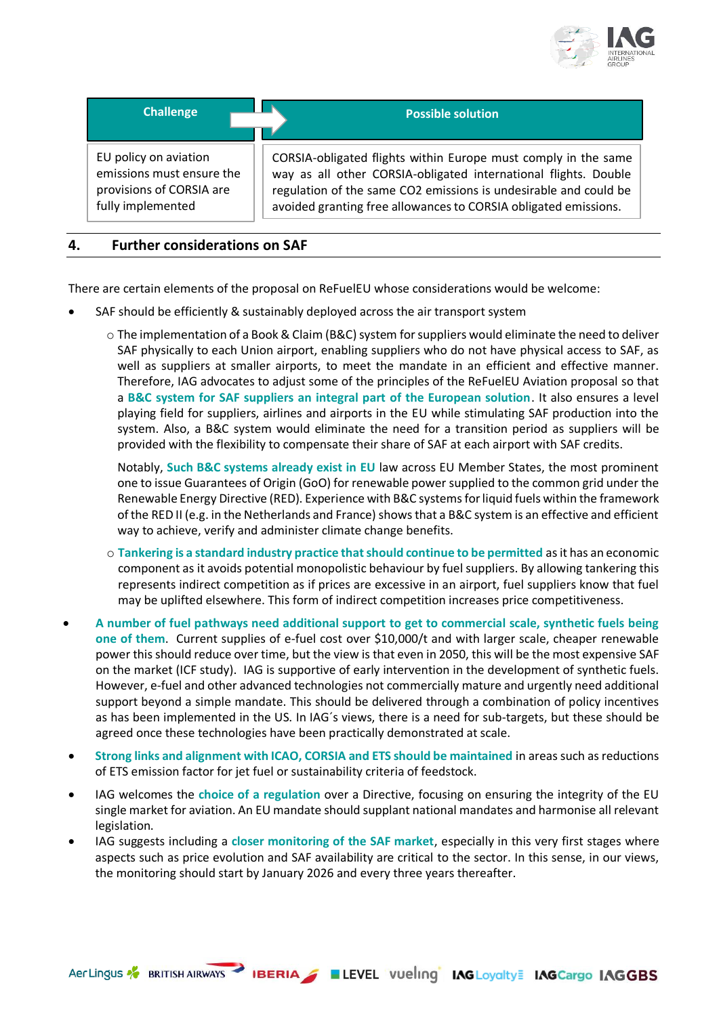

| <b>Challenge</b>          | <b>Possible solution</b>                                         |
|---------------------------|------------------------------------------------------------------|
| EU policy on aviation     | CORSIA-obligated flights within Europe must comply in the same   |
| emissions must ensure the | way as all other CORSIA-obligated international flights. Double  |
| provisions of CORSIA are  | regulation of the same CO2 emissions is undesirable and could be |
| fully implemented         | avoided granting free allowances to CORSIA obligated emissions.  |

#### **4. Further considerations on SAF**

There are certain elements of the proposal on ReFuelEU whose considerations would be welcome:

- SAF should be efficiently & sustainably deployed across the air transport system
	- $\circ$  The implementation of a Book & Claim (B&C) system for suppliers would eliminate the need to deliver SAF physically to each Union airport, enabling suppliers who do not have physical access to SAF, as well as suppliers at smaller airports, to meet the mandate in an efficient and effective manner. Therefore, IAG advocates to adjust some of the principles of the ReFuelEU Aviation proposal so that a **B&C system for SAF suppliers an integral part of the European solution**. It also ensures a level playing field for suppliers, airlines and airports in the EU while stimulating SAF production into the system. Also, a B&C system would eliminate the need for a transition period as suppliers will be provided with the flexibility to compensate their share of SAF at each airport with SAF credits.

Notably, **Such B&C systems already exist in EU** law across EU Member States, the most prominent one to issue Guarantees of Origin (GoO) for renewable power supplied to the common grid under the Renewable Energy Directive (RED). Experience with B&C systems for liquid fuels within the framework of the RED II (e.g. in the Netherlands and France) shows that a B&C system is an effective and efficient way to achieve, verify and administer climate change benefits.

- o **Tankering is a standard industry practice that should continue to be permitted** as it has an economic component as it avoids potential monopolistic behaviour by fuel suppliers. By allowing tankering this represents indirect competition as if prices are excessive in an airport, fuel suppliers know that fuel may be uplifted elsewhere. This form of indirect competition increases price competitiveness.
- **A number of fuel pathways need additional support to get to commercial scale, synthetic fuels being one of them**. Current supplies of e-fuel cost over \$10,000/t and with larger scale, cheaper renewable power this should reduce over time, but the view is that even in 2050, this will be the most expensive SAF on the market (ICF study). IAG is supportive of early intervention in the development of synthetic fuels. However, e-fuel and other advanced technologies not commercially mature and urgently need additional support beyond a simple mandate. This should be delivered through a combination of policy incentives as has been implemented in the US. In IAG´s views, there is a need for sub-targets, but these should be agreed once these technologies have been practically demonstrated at scale.
- **Strong links and alignment with ICAO, CORSIA and ETS should be maintained** in areas such as reductions of ETS emission factor for jet fuel or sustainability criteria of feedstock.
- IAG welcomes the **choice of a regulation** over a Directive, focusing on ensuring the integrity of the EU single market for aviation. An EU mandate should supplant national mandates and harmonise all relevant legislation.
- IAG suggests including a **closer monitoring of the SAF market**, especially in this very first stages where aspects such as price evolution and SAF availability are critical to the sector. In this sense, in our views, the monitoring should start by January 2026 and every three years thereafter.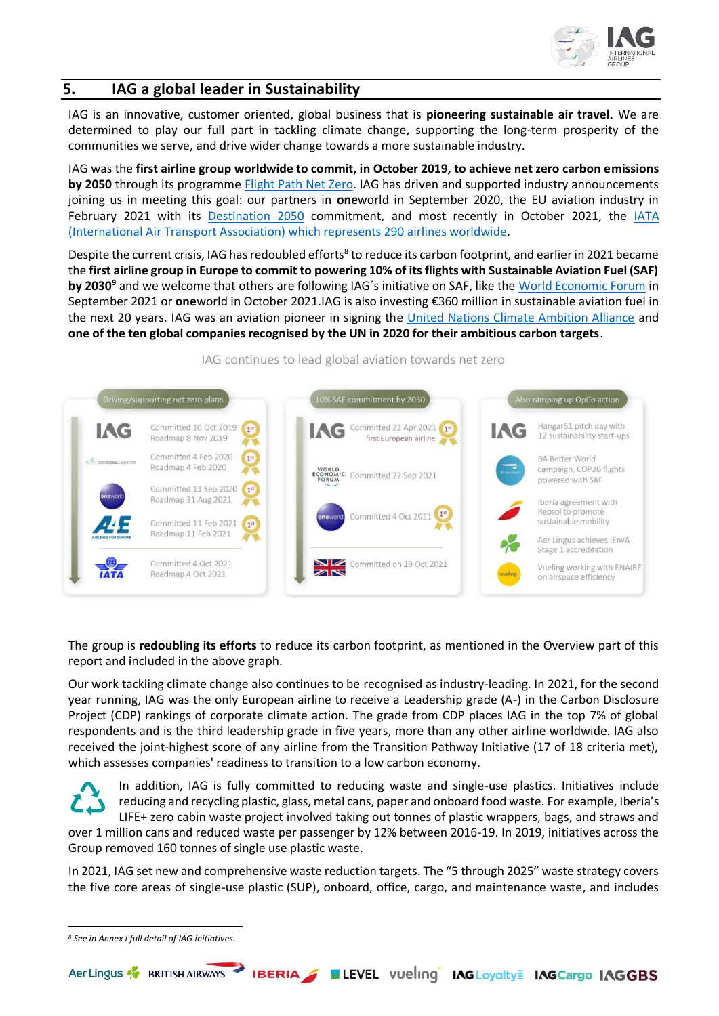

## **5. IAG a global leader in Sustainability**

IAG is an innovative, customer oriented, global business that is **pioneering sustainable air travel.** We are determined to play our full part in tackling climate change, supporting the long-term prosperity of the communities we serve, and drive wider change towards a more sustainable industry.

IAG was the **first airline group worldwide to commit, in October 2019, to achieve net zero carbon emissions by 2050** through its programme [Flight Path Net Zero.](https://www.iairgroup.com/~/media/Files/I/IAG/documents/flightpath-net-zero-EN-v3.pdf) IAG has driven and supported industry announcements joining us in meeting this goal: our partners in **one**[world](https://www.oneworld.com/news/2020-09-11-oneworld-member-airlines-commit-to-net-zero-carbon-emissions-by-2050#:~:text=one%20world%C2%AE%20member%20airlines%20have%20committed%20to%20net,behind%20a%20common%20target%20to%20achieve%20carbon%20neutrality.) in September 2020, the EU aviation industry in February 2021 with its [Destination 2050](https://www.destination2050.eu/press_release_launch/) commitment, and most recently in October 2021, the [IATA](https://www.iata.org/en/programs/environment/flynetzero/)  [\(International Air Transport Association\)](https://www.iata.org/en/programs/environment/flynetzero/) which represents 290 airlines worldwide.

Despite the current crisis, IAG has redoubled efforts<sup>8</sup> to reduce its carbon footprint, and earlier in 2021 became the **first airline group in Europe to commit to powering 10% of its flights with Sustainable Aviation Fuel (SAF)**  by 2030<sup>9</sup> and we welcome that others are following IAG's initiative on SAF, like the [World Economic Forum](https://www.weforum.org/press/2021/09/clean-skies-for-tomorrow-leaders-commit-to-10-sustainable-aviation-fuel-by-2030/) in September 2021 or **one**[world](https://www.oneworld.com/news/2021-10-04-oneworld-aspires-to-reach-10percent-sustainable-aviation-fuel-target-by-2030) in October 2021.IAG is also investing €360 million in sustainable aviation fuel in the next 20 years. IAG was an aviation pioneer in signing the [United Nations Climate Ambition Alliance](https://climateinitiativesplatform.org/index.php/Climate_Ambition_Alliance:_Net_Zero_2050) and **one of the ten global companies recognised by the UN in 2020 for their ambitious carbon targets**.

Also ramping up OpCo action **AG** Committed 22 Apr 2021 Committed 10 Oct 2019 Hangar51 pitch day with **IAG**  $1<sup>st</sup>$ IAG first European airline 12 sustainability start-ups Roadmap 8 Nov 2019 Committed 4 Feb 2020  $\sqrt{1}$ **BA Better World** Roadmap 4 Feb 2020 campaign, COP26 flights ECONOMIC Committed 22 Sep 2021 powered with SAF Committed 11 Sep 2020 1st Roadmap 31 Aug 2021 Iberia agreement with Repsol to promote Committed 4 Oct 2021 Committed 11 Feb 2021 sustainable mobility Roadmap 11 Feb 2021 Aer Lingus achieves (FnyA Stage 1 accreditation Committed 4 Oct 2021 Committed on 19 Oct 2021 Vueling working with ENAIRE Roadmap 4 Oct 2021 on airspace efficiency

IAG continues to lead global aviation towards net zero

The group is **redoubling its efforts** to reduce its carbon footprint, as mentioned in the Overview part of this report and included in the above graph.

Our work tackling climate change also continues to be recognised as industry-leading. In 2021, for the second year running, IAG was the only European airline to receive a Leadership grade (A-) in the Carbon Disclosure Project (CDP) rankings of corporate climate action. The grade from CDP places IAG in the top 7% of global respondents and is the third leadership grade in five years, more than any other airline worldwide. IAG also received the joint-highest score of any airline from the Transition Pathway Initiative (17 of 18 criteria met), which assesses companies' readiness to transition to a low carbon economy.

In addition, IAG is fully committed to reducing waste and single-use plastics. Initiatives include reducing and recycling plastic, glass, metal cans, paper and onboard food waste. For example, Iberia's LIFE+ zero cabin waste project involved taking out tonnes of plastic wrappers, bags, and straws and over 1 million cans and reduced waste per passenger by 12% between 2016-19. In 2019, initiatives across the Group removed 160 tonnes of single use plastic waste.

In 2021, IAG set new and comprehensive waste reduction targets. The "5 through 2025" waste strategy covers the five core areas of single-use plastic (SUP), onboard, office, cargo, and maintenance waste, and includes

*<sup>8</sup> See in Annex I full detail of IAG initiatives.*